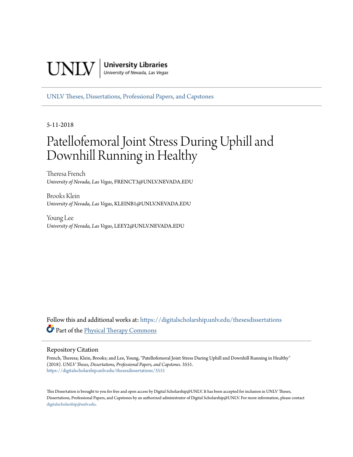

[UNLV Theses, Dissertations, Professional Papers, and Capstones](https://digitalscholarship.unlv.edu/thesesdissertations?utm_source=digitalscholarship.unlv.edu%2Fthesesdissertations%2F3551&utm_medium=PDF&utm_campaign=PDFCoverPages)

5-11-2018

# Patellofemoral Joint Stress During Uphill and Downhill Running in Healthy

Theresa French *University of Nevada, Las Vegas*, FRENCT3@UNLV.NEVADA.EDU

Brooks Klein *University of Nevada, Las Vegas*, KLEINB1@UNLV.NEVADA.EDU

Young Lee *University of Nevada, Las Vegas*, LEEY2@UNLV.NEVADA.EDU

Follow this and additional works at: [https://digitalscholarship.unlv.edu/thesesdissertations](https://digitalscholarship.unlv.edu/thesesdissertations?utm_source=digitalscholarship.unlv.edu%2Fthesesdissertations%2F3551&utm_medium=PDF&utm_campaign=PDFCoverPages) Part of the [Physical Therapy Commons](http://network.bepress.com/hgg/discipline/754?utm_source=digitalscholarship.unlv.edu%2Fthesesdissertations%2F3551&utm_medium=PDF&utm_campaign=PDFCoverPages)

#### Repository Citation

French, Theresa; Klein, Brooks; and Lee, Young, "Patellofemoral Joint Stress During Uphill and Downhill Running in Healthy" (2018). *UNLV Theses, Dissertations, Professional Papers, and Capstones*. 3551. [https://digitalscholarship.unlv.edu/thesesdissertations/3551](https://digitalscholarship.unlv.edu/thesesdissertations/3551?utm_source=digitalscholarship.unlv.edu%2Fthesesdissertations%2F3551&utm_medium=PDF&utm_campaign=PDFCoverPages)

This Dissertation is brought to you for free and open access by Digital Scholarship@UNLV. It has been accepted for inclusion in UNLV Theses, Dissertations, Professional Papers, and Capstones by an authorized administrator of Digital Scholarship@UNLV. For more information, please contact [digitalscholarship@unlv.edu.](mailto:digitalscholarship@unlv.edu)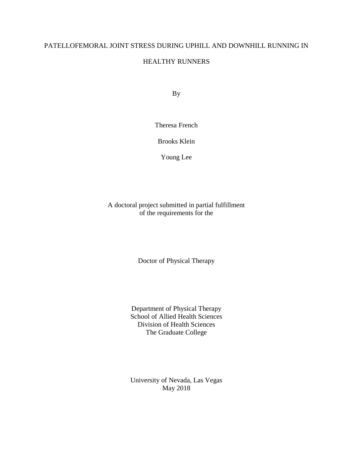# PATELLOFEMORAL JOINT STRESS DURING UPHILL AND DOWNHILL RUNNING IN

# HEALTHY RUNNERS

By

Theresa French

Brooks Klein

Young Lee

A doctoral project submitted in partial fulfillment of the requirements for the

Doctor of Physical Therapy

Department of Physical Therapy School of Allied Health Sciences Division of Health Sciences The Graduate College

University of Nevada, Las Vegas May 2018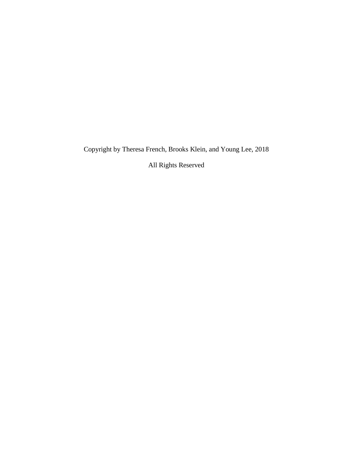Copyright by Theresa French, Brooks Klein, and Young Lee, 2018

All Rights Reserved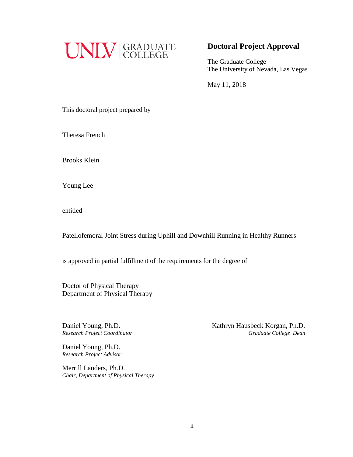

# **Doctoral Project Approval**

The Graduate College The University of Nevada, Las Vegas

May 11, 2018

This doctoral project prepared by

Theresa French

Brooks Klein

Young Lee

entitled

Patellofemoral Joint Stress during Uphill and Downhill Running in Healthy Runners

is approved in partial fulfillment of the requirements for the degree of

Doctor of Physical Therapy Department of Physical Therapy

Daniel Young, Ph.D.<br> **Kathryn Hausbeck Korgan, Ph.D.** *Research Project Coordinator Graduate College Dean*

Daniel Young, Ph.D. *Research Project Advisor*

Merrill Landers, Ph.D. *Chair, Department of Physical Therapy*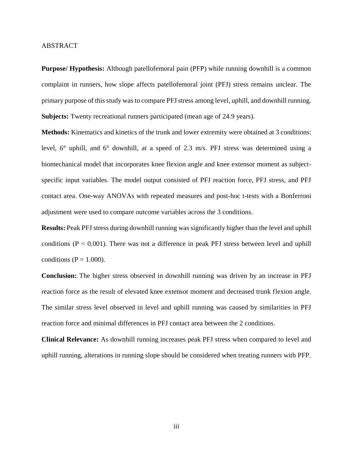#### <span id="page-4-0"></span>ABSTRACT

**Purpose/ Hypothesis:** Although patellofemoral pain (PFP) while running downhill is a common complaint in runners, how slope affects patellofemoral joint (PFJ) stress remains unclear. The primary purpose of this study was to compare PFJ stress among level, uphill, and downhill running. **Subjects:** Twenty recreational runners participated (mean age of 24.9 years).

**Methods:** Kinematics and kinetics of the trunk and lower extremity were obtained at 3 conditions: level, 6° uphill, and 6° downhill, at a speed of 2.3 m/s. PFJ stress was determined using a biomechanical model that incorporates knee flexion angle and knee extensor moment as subjectspecific input variables. The model output consisted of PFJ reaction force, PFJ stress, and PFJ contact area. One-way ANOVAs with repeated measures and post-hoc t-tests with a Bonferroni adjustment were used to compare outcome variables across the 3 conditions.

**Results:** Peak PFJ stress during downhill running was significantly higher than the level and uphill conditions ( $P < 0.001$ ). There was not a difference in peak PFJ stress between level and uphill conditions ( $P = 1.000$ ).

**Conclusion:** The higher stress observed in downhill running was driven by an increase in PFJ reaction force as the result of elevated knee extensor moment and decreased trunk flexion angle. The similar stress level observed in level and uphill running was caused by similarities in PFJ reaction force and minimal differences in PFJ contact area between the 2 conditions.

**Clinical Relevance:** As downhill running increases peak PFJ stress when compared to level and uphill running, alterations in running slope should be considered when treating runners with PFP.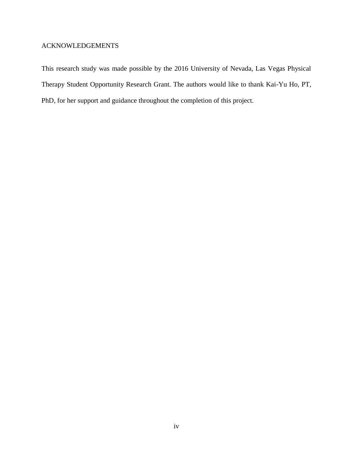# <span id="page-5-0"></span>ACKNOWLEDGEMENTS

This research study was made possible by the 2016 University of Nevada, Las Vegas Physical Therapy Student Opportunity Research Grant. The authors would like to thank Kai-Yu Ho, PT, PhD, for her support and guidance throughout the completion of this project.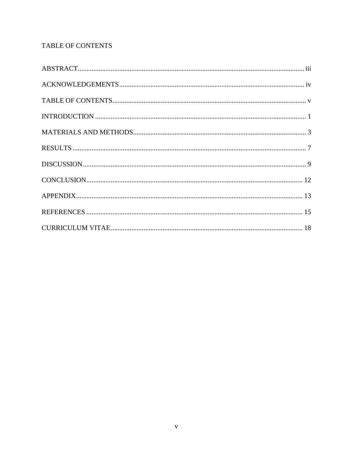# <span id="page-6-0"></span>TABLE OF CONTENTS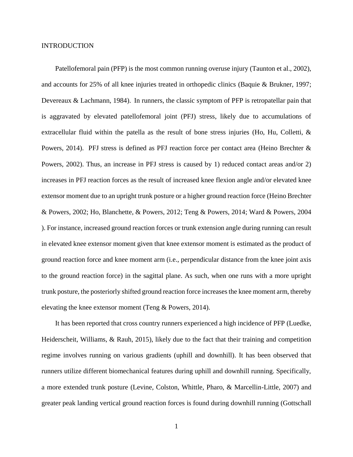#### <span id="page-7-0"></span>INTRODUCTION

Patellofemoral pain (PFP) is the most common running overuse injury [\(Taunton et al., 2002\)](#page-22-0), and accounts for 25% of all knee injuries treated in orthopedic clinics [\(Baquie & Brukner, 1997;](#page-21-1) [Devereaux & Lachmann, 1984\)](#page-21-2). In runners, the classic symptom of PFP is retropatellar pain that is aggravated by elevated patellofemoral joint (PFJ) stress, likely due to accumulations of extracellular fluid within the patella as the result of bone stress injuries (Ho, Hu, Colletti,  $\&$ [Powers, 2014\)](#page-21-3). PFJ stress is defined as PFJ reaction force per contact area [\(Heino Brechter &](#page-21-4)  [Powers, 2002\)](#page-21-4). Thus, an increase in PFJ stress is caused by 1) reduced contact areas and/or 2) increases in PFJ reaction forces as the result of increased knee flexion angle and/or elevated knee extensor moment due to an upright trunk posture or a higher ground reaction force [\(Heino Brechter](#page-21-4)  [& Powers, 2002;](#page-21-4) [Ho, Blanchette, & Powers, 2012;](#page-21-5) [Teng & Powers, 2014;](#page-23-0) [Ward & Powers, 2004](#page-23-1)  ). For instance, increased ground reaction forces or trunk extension angle during running can result in elevated knee extensor moment given that knee extensor moment is estimated as the product of ground reaction force and knee moment arm (i.e., perpendicular distance from the knee joint axis to the ground reaction force) in the sagittal plane. As such, when one runs with a more upright trunk posture, the posteriorly shifted ground reaction force increasesthe knee moment arm, thereby elevating the knee extensor moment [\(Teng & Powers, 2014\)](#page-23-0).

It has been reported that cross country runners experienced a high incidence of PFP [\(Luedke,](#page-22-1)  [Heiderscheit, Williams, & Rauh, 2015\)](#page-22-1), likely due to the fact that their training and competition regime involves running on various gradients (uphill and downhill). It has been observed that runners utilize different biomechanical features during uphill and downhill running. Specifically, a more extended trunk posture [\(Levine, Colston, Whittle, Pharo, & Marcellin-Little, 2007\)](#page-22-2) and greater peak landing vertical ground reaction forces is found during downhill running [\(Gottschall](#page-21-6)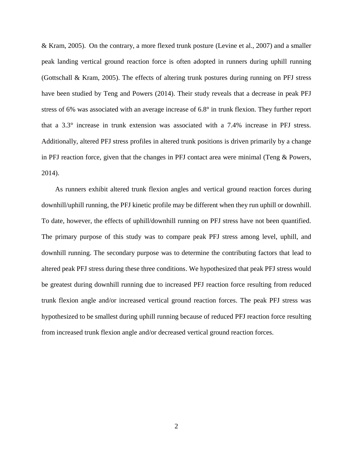[& Kram, 2005\)](#page-21-6). On the contrary, a more flexed trunk posture [\(Levine et al., 2007\)](#page-22-2) and a smaller peak landing vertical ground reaction force is often adopted in runners during uphill running [\(Gottschall & Kram, 2005\)](#page-21-6). The effects of altering trunk postures during running on PFJ stress have been studied by Teng and Powers [\(2014\)](#page-23-0). Their study reveals that a decrease in peak PFJ stress of 6% was associated with an average increase of 6.8° in trunk flexion. They further report that a 3.3° increase in trunk extension was associated with a 7.4% increase in PFJ stress. Additionally, altered PFJ stress profiles in altered trunk positions is driven primarily by a change in PFJ reaction force, given that the changes in PFJ contact area were minimal [\(Teng & Powers,](#page-23-0)  [2014\)](#page-23-0).

As runners exhibit altered trunk flexion angles and vertical ground reaction forces during downhill/uphill running, the PFJ kinetic profile may be different when they run uphill or downhill. To date, however, the effects of uphill/downhill running on PFJ stress have not been quantified. The primary purpose of this study was to compare peak PFJ stress among level, uphill, and downhill running. The secondary purpose was to determine the contributing factors that lead to altered peak PFJ stress during these three conditions. We hypothesized that peak PFJ stress would be greatest during downhill running due to increased PFJ reaction force resulting from reduced trunk flexion angle and/or increased vertical ground reaction forces. The peak PFJ stress was hypothesized to be smallest during uphill running because of reduced PFJ reaction force resulting from increased trunk flexion angle and/or decreased vertical ground reaction forces.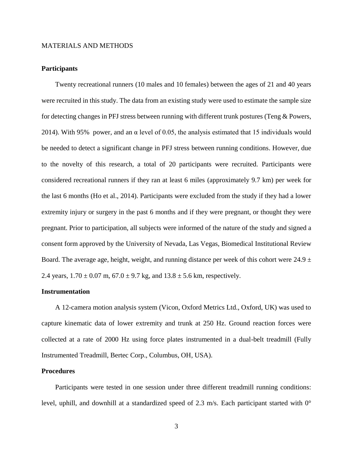#### <span id="page-9-0"></span>MATERIALS AND METHODS

#### **Participants**

Twenty recreational runners (10 males and 10 females) between the ages of 21 and 40 years were recruited in this study. The data from an existing study were used to estimate the sample size for detecting changes in PFJ stress between running with different trunk postures [\(Teng & Powers,](#page-23-0)  [2014\)](#page-23-0). With 95% power, and an  $\alpha$  level of 0.05, the analysis estimated that 15 individuals would be needed to detect a significant change in PFJ stress between running conditions. However, due to the novelty of this research, a total of 20 participants were recruited. Participants were considered recreational runners if they ran at least 6 miles (approximately 9.7 km) per week for the last 6 months [\(Ho et al., 2014\)](#page-21-3). Participants were excluded from the study if they had a lower extremity injury or surgery in the past 6 months and if they were pregnant, or thought they were pregnant. Prior to participation, all subjects were informed of the nature of the study and signed a consent form approved by the University of Nevada, Las Vegas, Biomedical Institutional Review Board. The average age, height, weight, and running distance per week of this cohort were  $24.9 \pm$ 2.4 years,  $1.70 \pm 0.07$  m,  $67.0 \pm 9.7$  kg, and  $13.8 \pm 5.6$  km, respectively.

#### **Instrumentation**

A 12-camera motion analysis system (Vicon, Oxford Metrics Ltd., Oxford, UK) was used to capture kinematic data of lower extremity and trunk at 250 Hz. Ground reaction forces were collected at a rate of 2000 Hz using force plates instrumented in a dual-belt treadmill (Fully Instrumented Treadmill, Bertec Corp., Columbus, OH, USA).

## **Procedures**

Participants were tested in one session under three different treadmill running conditions: level, uphill, and downhill at a standardized speed of 2.3 m/s. Each participant started with 0°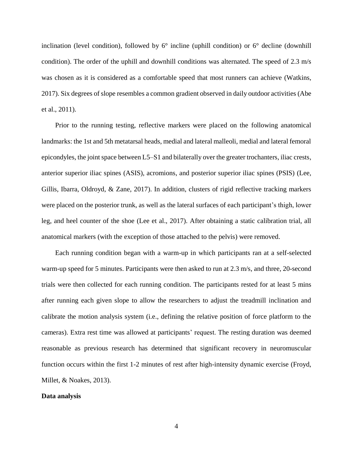inclination (level condition), followed by  $6^\circ$  incline (uphill condition) or  $6^\circ$  decline (downhill condition). The order of the uphill and downhill conditions was alternated. The speed of 2.3 m/s was chosen as it is considered as a comfortable speed that most runners can achieve [\(Watkins,](#page-23-2)  [2017\)](#page-23-2). Six degrees of slope resembles a common gradient observed in daily outdoor activities [\(Abe](#page-21-7)  [et al., 2011\)](#page-21-7).

Prior to the running testing, reflective markers were placed on the following anatomical landmarks: the 1st and 5th metatarsal heads, medial and lateral malleoli, medial and lateral femoral epicondyles, the joint space between L5–S1 and bilaterally over the greater trochanters, iliac crests, anterior superior iliac spines (ASIS), acromions, and posterior superior iliac spines (PSIS) [\(Lee,](#page-22-3)  [Gillis, Ibarra, Oldroyd, & Zane, 2017\)](#page-22-3). In addition, clusters of rigid reflective tracking markers were placed on the posterior trunk, as well as the lateral surfaces of each participant's thigh, lower leg, and heel counter of the shoe [\(Lee et al., 2017\)](#page-22-3). After obtaining a static calibration trial, all anatomical markers (with the exception of those attached to the pelvis) were removed.

Each running condition began with a warm-up in which participants ran at a self-selected warm-up speed for 5 minutes. Participants were then asked to run at 2.3 m/s, and three, 20-second trials were then collected for each running condition. The participants rested for at least 5 mins after running each given slope to allow the researchers to adjust the treadmill inclination and calibrate the motion analysis system (i.e., defining the relative position of force platform to the cameras). Extra rest time was allowed at participants' request. The resting duration was deemed reasonable as previous research has determined that significant recovery in neuromuscular function occurs within the first 1-2 minutes of rest after high-intensity dynamic exercise [\(Froyd,](#page-21-8)  [Millet, & Noakes, 2013\)](#page-21-8).

#### **Data analysis**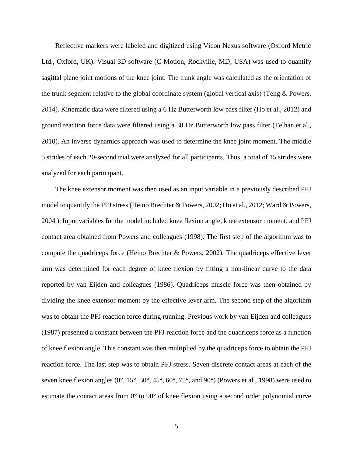Reflective markers were labeled and digitized using Vicon Nexus software (Oxford Metric Ltd., Oxford, UK). Visual 3D software (C-Motion, Rockville, MD, USA) was used to quantify sagittal plane joint motions of the knee joint. The trunk angle was calculated as the orientation of the trunk segment relative to the global coordinate system (global vertical axis) [\(Teng & Powers,](#page-23-0)  [2014\)](#page-23-0). Kinematic data were filtered using a 6 Hz Butterworth low pass filter [\(Ho et al., 2012\)](#page-21-5) and ground reaction force data were filtered using a 30 Hz Butterworth low pass filter [\(Telhan et al.,](#page-22-4)  [2010\)](#page-22-4). An inverse dynamics approach was used to determine the knee joint moment. The middle 5 strides of each 20-second trial were analyzed for all participants. Thus, a total of 15 strides were analyzed for each participant.

The knee extensor moment was then used as an input variable in a previously described PFJ model to quantify the PFJ stress [\(Heino Brechter & Powers, 2002;](#page-21-4) [Ho et al., 2012;](#page-21-5) [Ward & Powers,](#page-23-1)  [2004 \)](#page-23-1). Input variables for the model included knee flexion angle, knee extensor moment, and PFJ contact area obtained from Powers and colleagues [\(1998\)](#page-22-5). The first step of the algorithm was to compute the quadriceps force [\(Heino Brechter & Powers, 2002\)](#page-21-4). The quadriceps effective lever arm was determined for each degree of knee flexion by fitting a non-linear curve to the data reported by van Eijden and colleagues [\(1986\)](#page-23-3). Quadriceps muscle force was then obtained by dividing the knee extensor moment by the effective lever arm. The second step of the algorithm was to obtain the PFJ reaction force during running. Previous work by van Eijden and colleagues [\(1987\)](#page-23-4) presented a constant between the PFJ reaction force and the quadriceps force as a function of knee flexion angle. This constant was then multiplied by the quadriceps force to obtain the PFJ reaction force. The last step was to obtain PFJ stress. Seven discrete contact areas at each of the seven knee flexion angles (0°, 15°, 30°, 45°, 60°, 75°, and 90°) [\(Powers et al., 1998\)](#page-22-5) were used to estimate the contact areas from 0° to 90° of knee flexion using a second order polynomial curve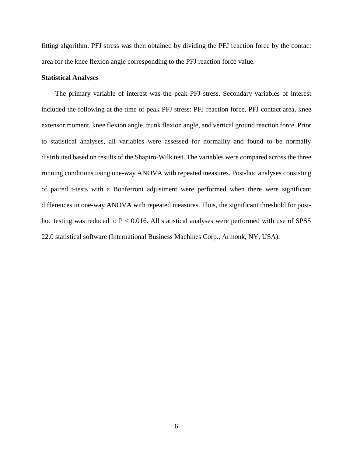fitting algorithm. PFJ stress was then obtained by dividing the PFJ reaction force by the contact area for the knee flexion angle corresponding to the PFJ reaction force value.

#### **Statistical Analyses**

The primary variable of interest was the peak PFJ stress. Secondary variables of interest included the following at the time of peak PFJ stress: PFJ reaction force, PFJ contact area, knee extensor moment, knee flexion angle, trunk flexion angle, and vertical ground reaction force. Prior to statistical analyses, all variables were assessed for normality and found to be normally distributed based on results of the Shapiro-Wilk test. The variables were compared across the three running conditions using one-way ANOVA with repeated measures. Post-hoc analyses consisting of paired t-tests with a Bonferroni adjustment were performed when there were significant differences in one-way ANOVA with repeated measures. Thus, the significant threshold for posthoc testing was reduced to  $P < 0.016$ . All statistical analyses were performed with use of SPSS 22.0 statistical software (International Business Machines Corp., Armonk, NY, USA).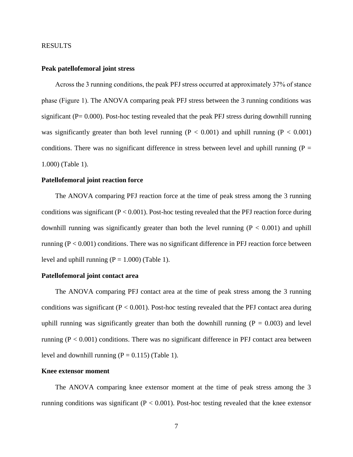#### <span id="page-13-0"></span>RESULTS

#### **Peak patellofemoral joint stress**

Across the 3 running conditions, the peak PFJ stress occurred at approximately 37% of stance phase (Figure 1). The ANOVA comparing peak PFJ stress between the 3 running conditions was significant ( $P = 0.000$ ). Post-hoc testing revealed that the peak PFJ stress during downhill running was significantly greater than both level running ( $P < 0.001$ ) and uphill running ( $P < 0.001$ ) conditions. There was no significant difference in stress between level and uphill running ( $P =$ 1.000) (Table 1).

#### **Patellofemoral joint reaction force**

The ANOVA comparing PFJ reaction force at the time of peak stress among the 3 running conditions was significant  $(P < 0.001)$ . Post-hoc testing revealed that the PFJ reaction force during downhill running was significantly greater than both the level running  $(P < 0.001)$  and uphill running ( $P < 0.001$ ) conditions. There was no significant difference in PFJ reaction force between level and uphill running  $(P = 1.000)$  (Table 1).

#### **Patellofemoral joint contact area**

The ANOVA comparing PFJ contact area at the time of peak stress among the 3 running conditions was significant ( $P < 0.001$ ). Post-hoc testing revealed that the PFJ contact area during uphill running was significantly greater than both the downhill running ( $P = 0.003$ ) and level running ( $P < 0.001$ ) conditions. There was no significant difference in PFJ contact area between level and downhill running  $(P = 0.115)$  (Table 1).

#### **Knee extensor moment**

The ANOVA comparing knee extensor moment at the time of peak stress among the 3 running conditions was significant ( $P < 0.001$ ). Post-hoc testing revealed that the knee extensor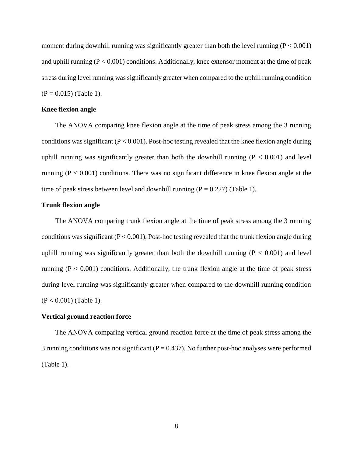moment during downhill running was significantly greater than both the level running  $(P < 0.001)$ and uphill running  $(P < 0.001)$  conditions. Additionally, knee extensor moment at the time of peak stress during level running was significantly greater when compared to the uphill running condition  $(P = 0.015)$  (Table 1).

#### **Knee flexion angle**

The ANOVA comparing knee flexion angle at the time of peak stress among the 3 running conditions was significant  $(P < 0.001)$ . Post-hoc testing revealed that the knee flexion angle during uphill running was significantly greater than both the downhill running  $(P < 0.001)$  and level running ( $P < 0.001$ ) conditions. There was no significant difference in knee flexion angle at the time of peak stress between level and downhill running  $(P = 0.227)$  (Table 1).

#### **Trunk flexion angle**

The ANOVA comparing trunk flexion angle at the time of peak stress among the 3 running conditions was significant  $(P < 0.001)$ . Post-hoc testing revealed that the trunk flexion angle during uphill running was significantly greater than both the downhill running  $(P < 0.001)$  and level running ( $P < 0.001$ ) conditions. Additionally, the trunk flexion angle at the time of peak stress during level running was significantly greater when compared to the downhill running condition (P < 0.001) (Table 1).

#### **Vertical ground reaction force**

The ANOVA comparing vertical ground reaction force at the time of peak stress among the 3 running conditions was not significant ( $P = 0.437$ ). No further post-hoc analyses were performed (Table 1).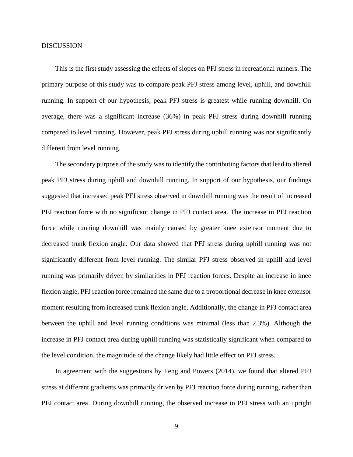#### <span id="page-15-0"></span>DISCUSSION

This is the first study assessing the effects of slopes on PFJ stress in recreational runners. The primary purpose of this study was to compare peak PFJ stress among level, uphill, and downhill running. In support of our hypothesis, peak PFJ stress is greatest while running downhill. On average, there was a significant increase (36%) in peak PFJ stress during downhill running compared to level running. However, peak PFJ stress during uphill running was not significantly different from level running.

The secondary purpose of the study was to identify the contributing factors that lead to altered peak PFJ stress during uphill and downhill running. In support of our hypothesis, our findings suggested that increased peak PFJ stress observed in downhill running was the result of increased PFJ reaction force with no significant change in PFJ contact area. The increase in PFJ reaction force while running downhill was mainly caused by greater knee extensor moment due to decreased trunk flexion angle. Our data showed that PFJ stress during uphill running was not significantly different from level running. The similar PFJ stress observed in uphill and level running was primarily driven by similarities in PFJ reaction forces. Despite an increase in knee flexion angle, PFJ reaction force remained the same due to a proportional decrease in knee extensor moment resulting from increased trunk flexion angle. Additionally, the change in PFJ contact area between the uphill and level running conditions was minimal (less than 2.3%). Although the increase in PFJ contact area during uphill running was statistically significant when compared to the level condition, the magnitude of the change likely had little effect on PFJ stress.

In agreement with the suggestions by Teng and Powers [\(2014\)](#page-23-0), we found that altered PFJ stress at different gradients was primarily driven by PFJ reaction force during running, rather than PFJ contact area. During downhill running, the observed increase in PFJ stress with an upright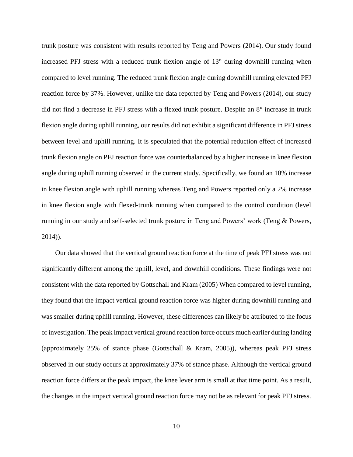trunk posture was consistent with results reported by Teng and Powers [\(2014\)](#page-23-0). Our study found increased PFJ stress with a reduced trunk flexion angle of 13° during downhill running when compared to level running. The reduced trunk flexion angle during downhill running elevated PFJ reaction force by 37%. However, unlike the data reported by Teng and Powers [\(2014\)](#page-23-0), our study did not find a decrease in PFJ stress with a flexed trunk posture. Despite an 8° increase in trunk flexion angle during uphill running, our results did not exhibit a significant difference in PFJ stress between level and uphill running. It is speculated that the potential reduction effect of increased trunk flexion angle on PFJ reaction force was counterbalanced by a higher increase in knee flexion angle during uphill running observed in the current study. Specifically, we found an 10% increase in knee flexion angle with uphill running whereas Teng and Powers reported only a 2% increase in knee flexion angle with flexed-trunk running when compared to the control condition (level running in our study and self-selected trunk posture in Teng and Powers' work [\(Teng & Powers,](#page-23-0)  [2014\)](#page-23-0)).

Our data showed that the vertical ground reaction force at the time of peak PFJ stress was not significantly different among the uphill, level, and downhill conditions. These findings were not consistent with the data reported by Gottschall and Kram [\(2005\)](#page-21-6) When compared to level running, they found that the impact vertical ground reaction force was higher during downhill running and was smaller during uphill running. However, these differences can likely be attributed to the focus of investigation. The peak impact vertical ground reaction force occurs much earlier during landing (approximately 25% of stance phase [\(Gottschall & Kram, 2005\)](#page-21-6)), whereas peak PFJ stress observed in our study occurs at approximately 37% of stance phase. Although the vertical ground reaction force differs at the peak impact, the knee lever arm is small at that time point. As a result, the changes in the impact vertical ground reaction force may not be as relevant for peak PFJ stress.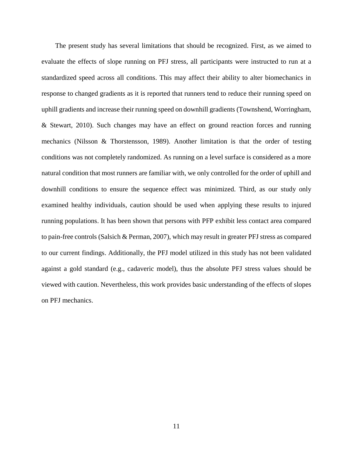The present study has several limitations that should be recognized. First, as we aimed to evaluate the effects of slope running on PFJ stress, all participants were instructed to run at a standardized speed across all conditions. This may affect their ability to alter biomechanics in response to changed gradients as it is reported that runners tend to reduce their running speed on uphill gradients and increase their running speed on downhill gradients [\(Townshend, Worringham,](#page-23-5)  [& Stewart, 2010\)](#page-23-5). Such changes may have an effect on ground reaction forces and running mechanics [\(Nilsson & Thorstensson, 1989\)](#page-22-6). Another limitation is that the order of testing conditions was not completely randomized. As running on a level surface is considered as a more natural condition that most runners are familiar with, we only controlled for the order of uphill and downhill conditions to ensure the sequence effect was minimized. Third, as our study only examined healthy individuals, caution should be used when applying these results to injured running populations. It has been shown that persons with PFP exhibit less contact area compared to pain-free controls [\(Salsich & Perman, 2007\)](#page-22-7), which may result in greater PFJ stress as compared to our current findings. Additionally, the PFJ model utilized in this study has not been validated against a gold standard (e.g., cadaveric model), thus the absolute PFJ stress values should be viewed with caution. Nevertheless, this work provides basic understanding of the effects of slopes on PFJ mechanics.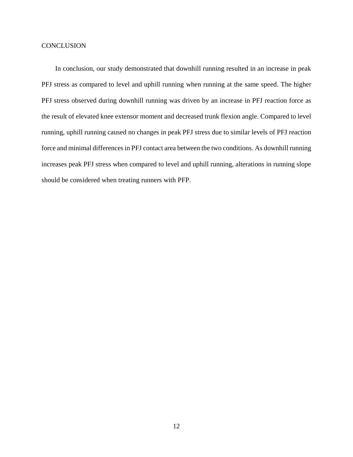# <span id="page-18-0"></span>**CONCLUSION**

In conclusion, our study demonstrated that downhill running resulted in an increase in peak PFJ stress as compared to level and uphill running when running at the same speed. The higher PFJ stress observed during downhill running was driven by an increase in PFJ reaction force as the result of elevated knee extensor moment and decreased trunk flexion angle. Compared to level running, uphill running caused no changes in peak PFJ stress due to similar levels of PFJ reaction force and minimal differences in PFJ contact area between the two conditions. As downhill running increases peak PFJ stress when compared to level and uphill running, alterations in running slope should be considered when treating runners with PFP.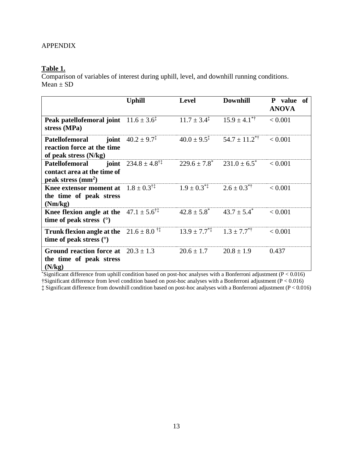# <span id="page-19-0"></span>**Table 1.**

Comparison of variables of interest during uphill, level, and downhill running conditions.  $Mean \pm SD$ 

|                                                                                                      | <b>Uphill</b>                                  | <b>Level</b>                         | <b>Downhill</b>                     | P value of<br><b>ANOVA</b> |
|------------------------------------------------------------------------------------------------------|------------------------------------------------|--------------------------------------|-------------------------------------|----------------------------|
| Peak patellofemoral joint $11.6 \pm 3.6^{\ddagger}$<br>stress (MPa)                                  |                                                | $11.7 \pm 3.4^{\ddagger}$            | $15.9 \pm 4.1$ <sup>*†</sup>        | < 0.001                    |
| Patellofemoral<br>reaction force at the time<br>of peak stress $(N/kg)$                              | <b>joint</b> $40.2 \pm 9.7^{\ddagger}$         | $40.0 \pm 9.5^{\ddagger}$            | $54.7 \pm 11.2$ <sup>*†</sup>       | < 0.001                    |
| <b>Patellofemoral</b><br>contact area at the time of<br>peak stress $(mm^2)$                         | <b>joint</b> $234.8 \pm 4.8^{\dagger\ddagger}$ |                                      | $229.6 \pm 7.8^*$ $231.0 \pm 6.5^*$ | < 0.001                    |
| <b>Knee extensor moment at</b> $1.8 \pm 0.3^{\dagger\ddagger}$<br>the time of peak stress<br>(Nm/kg) |                                                | $1.9 \pm 0.3^{*}$                    | $2.6 \pm 0.3^{*}$                   | < 0.001                    |
| <b>Knee flexion angle at the</b> $47.1 \pm 5.6^{\dagger\ddagger}$<br>time of peak stress $(°)$       |                                                | $42.8 \pm 5.8^*$ $43.7 \pm 5.4^*$    |                                     | < 0.001                    |
| <b>Trunk flexion angle at the</b> $21.6 \pm 8.0$ <sup>†‡</sup><br>time of peak stress $(°)$          |                                                | $13.9 \pm 7.7^{*}$ $1.3 \pm 7.7^{*}$ |                                     | < 0.001                    |
| Ground reaction force at $20.3 \pm 1.3$<br>the time of peak stress<br>(N/kg)                         |                                                | $20.6 \pm 1.7$                       | $20.8 \pm 1.9$                      | 0.437                      |

\*Significant difference from uphill condition based on post-hoc analyses with a Bonferroni adjustment (P < 0.016) †Significant difference from level condition based on post-hoc analyses with a Bonferroni adjustment (P < 0.016) ‡ Significant difference from downhill condition based on post-hoc analyses with a Bonferroni adjustment (P < 0.016)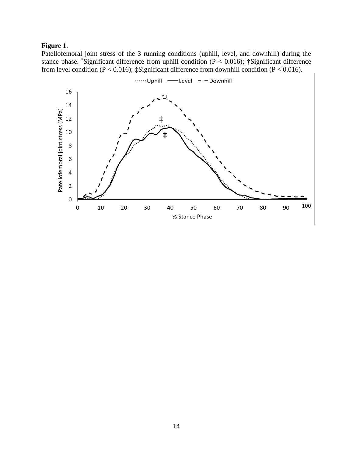# **Figure 1**.

Patellofemoral joint stress of the 3 running conditions (uphill, level, and downhill) during the stance phase. \*Significant difference from uphill condition ( $P < 0.016$ ); †Significant difference from level condition ( $P < 0.016$ );  $\ddagger$ Significant difference from downhill condition ( $P < 0.016$ ).

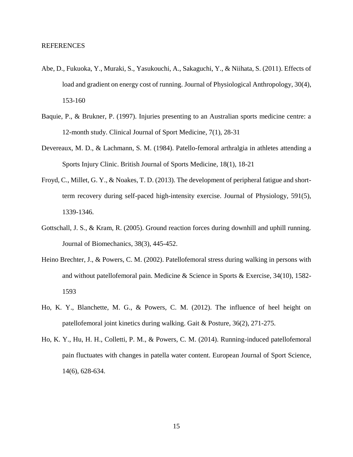- <span id="page-21-7"></span><span id="page-21-0"></span>Abe, D., Fukuoka, Y., Muraki, S., Yasukouchi, A., Sakaguchi, Y., & Niihata, S. (2011). Effects of load and gradient on energy cost of running. Journal of Physiological Anthropology, 30(4), 153-160
- <span id="page-21-1"></span>Baquie, P., & Brukner, P. (1997). Injuries presenting to an Australian sports medicine centre: a 12-month study. Clinical Journal of Sport Medicine, 7(1), 28-31
- <span id="page-21-2"></span>Devereaux, M. D., & Lachmann, S. M. (1984). Patello-femoral arthralgia in athletes attending a Sports Injury Clinic. British Journal of Sports Medicine, 18(1), 18-21
- <span id="page-21-8"></span>Froyd, C., Millet, G. Y., & Noakes, T. D. (2013). The development of peripheral fatigue and shortterm recovery during self-paced high-intensity exercise. Journal of Physiology, 591(5), 1339-1346.
- <span id="page-21-6"></span>Gottschall, J. S., & Kram, R. (2005). Ground reaction forces during downhill and uphill running. Journal of Biomechanics, 38(3), 445-452.
- <span id="page-21-4"></span>Heino Brechter, J., & Powers, C. M. (2002). Patellofemoral stress during walking in persons with and without patellofemoral pain. Medicine & Science in Sports & Exercise, 34(10), 1582- 1593
- <span id="page-21-5"></span>Ho, K. Y., Blanchette, M. G., & Powers, C. M. (2012). The influence of heel height on patellofemoral joint kinetics during walking. Gait & Posture, 36(2), 271-275.
- <span id="page-21-3"></span>Ho, K. Y., Hu, H. H., Colletti, P. M., & Powers, C. M. (2014). Running-induced patellofemoral pain fluctuates with changes in patella water content. European Journal of Sport Science, 14(6), 628-634.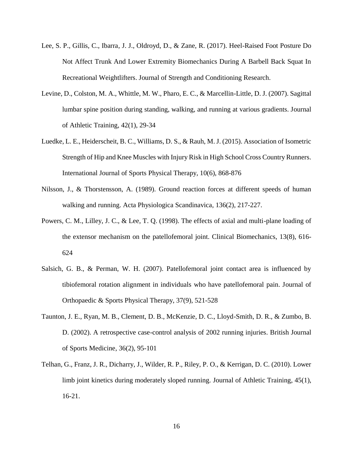- <span id="page-22-3"></span>Lee, S. P., Gillis, C., Ibarra, J. J., Oldroyd, D., & Zane, R. (2017). Heel-Raised Foot Posture Do Not Affect Trunk And Lower Extremity Biomechanics During A Barbell Back Squat In Recreational Weightlifters. Journal of Strength and Conditioning Research.
- <span id="page-22-2"></span>Levine, D., Colston, M. A., Whittle, M. W., Pharo, E. C., & Marcellin-Little, D. J. (2007). Sagittal lumbar spine position during standing, walking, and running at various gradients. Journal of Athletic Training, 42(1), 29-34
- <span id="page-22-1"></span>Luedke, L. E., Heiderscheit, B. C., Williams, D. S., & Rauh, M. J. (2015). Association of Isometric Strength of Hip and Knee Muscles with Injury Risk in High School Cross Country Runners. International Journal of Sports Physical Therapy, 10(6), 868-876
- <span id="page-22-6"></span>Nilsson, J., & Thorstensson, A. (1989). Ground reaction forces at different speeds of human walking and running. Acta Physiologica Scandinavica, 136(2), 217-227.
- <span id="page-22-5"></span>Powers, C. M., Lilley, J. C., & Lee, T. Q. (1998). The effects of axial and multi-plane loading of the extensor mechanism on the patellofemoral joint. Clinical Biomechanics, 13(8), 616- 624
- <span id="page-22-7"></span>Salsich, G. B., & Perman, W. H. (2007). Patellofemoral joint contact area is influenced by tibiofemoral rotation alignment in individuals who have patellofemoral pain. Journal of Orthopaedic & Sports Physical Therapy, 37(9), 521-528
- <span id="page-22-0"></span>Taunton, J. E., Ryan, M. B., Clement, D. B., McKenzie, D. C., Lloyd-Smith, D. R., & Zumbo, B. D. (2002). A retrospective case-control analysis of 2002 running injuries. British Journal of Sports Medicine, 36(2), 95-101
- <span id="page-22-4"></span>Telhan, G., Franz, J. R., Dicharry, J., Wilder, R. P., Riley, P. O., & Kerrigan, D. C. (2010). Lower limb joint kinetics during moderately sloped running. Journal of Athletic Training, 45(1), 16-21.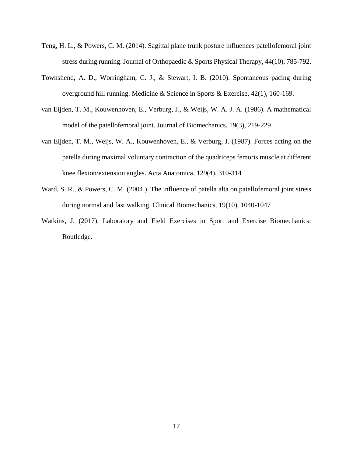- <span id="page-23-0"></span>Teng, H. L., & Powers, C. M. (2014). Sagittal plane trunk posture influences patellofemoral joint stress during running. Journal of Orthopaedic & Sports Physical Therapy, 44(10), 785-792.
- <span id="page-23-5"></span>Townshend, A. D., Worringham, C. J., & Stewart, I. B. (2010). Spontaneous pacing during overground hill running. Medicine & Science in Sports & Exercise, 42(1), 160-169.
- <span id="page-23-3"></span>van Eijden, T. M., Kouwenhoven, E., Verburg, J., & Weijs, W. A. J. A. (1986). A mathematical model of the patellofemoral joint. Journal of Biomechanics, 19(3), 219-229
- <span id="page-23-4"></span>van Eijden, T. M., Weijs, W. A., Kouwenhoven, E., & Verburg, J. (1987). Forces acting on the patella during maximal voluntary contraction of the quadriceps femoris muscle at different knee flexion/extension angles. Acta Anatomica, 129(4), 310-314
- <span id="page-23-1"></span>Ward, S. R., & Powers, C. M. (2004 ). The influence of patella alta on patellofemoral joint stress during normal and fast walking. Clinical Biomechanics, 19(10), 1040-1047
- <span id="page-23-2"></span>Watkins, J. (2017). Laboratory and Field Exercises in Sport and Exercise Biomechanics: Routledge.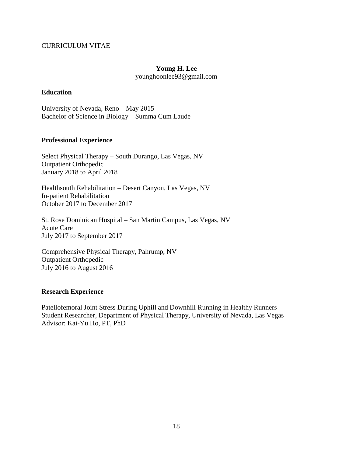# <span id="page-24-0"></span>CURRICULUM VITAE

# **Young H. Lee**

younghoonlee93@gmail.com

## **Education**

University of Nevada, Reno – May 2015 Bachelor of Science in Biology – Summa Cum Laude

# **Professional Experience**

Select Physical Therapy – South Durango, Las Vegas, NV Outpatient Orthopedic January 2018 to April 2018

Healthsouth Rehabilitation – Desert Canyon, Las Vegas, NV In-patient Rehabilitation October 2017 to December 2017

St. Rose Dominican Hospital – San Martin Campus, Las Vegas, NV Acute Care July 2017 to September 2017

Comprehensive Physical Therapy, Pahrump, NV Outpatient Orthopedic July 2016 to August 2016

## **Research Experience**

Patellofemoral Joint Stress During Uphill and Downhill Running in Healthy Runners Student Researcher, Department of Physical Therapy, University of Nevada, Las Vegas Advisor: Kai-Yu Ho, PT, PhD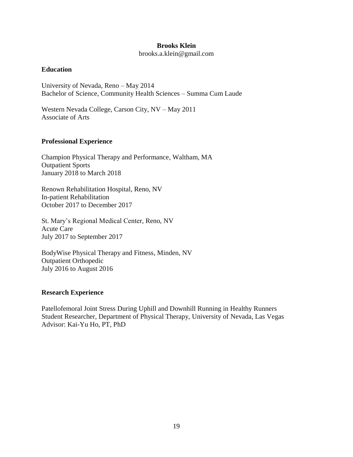## **Brooks Klein**

brooks.a.klein@gmail.com

# **Education**

University of Nevada, Reno – May 2014 Bachelor of Science, Community Health Sciences – Summa Cum Laude

Western Nevada College, Carson City, NV – May 2011 Associate of Arts

# **Professional Experience**

Champion Physical Therapy and Performance, Waltham, MA Outpatient Sports January 2018 to March 2018

Renown Rehabilitation Hospital, Reno, NV In-patient Rehabilitation October 2017 to December 2017

St. Mary's Regional Medical Center, Reno, NV Acute Care July 2017 to September 2017

BodyWise Physical Therapy and Fitness, Minden, NV Outpatient Orthopedic July 2016 to August 2016

# **Research Experience**

Patellofemoral Joint Stress During Uphill and Downhill Running in Healthy Runners Student Researcher, Department of Physical Therapy, University of Nevada, Las Vegas Advisor: Kai-Yu Ho, PT, PhD